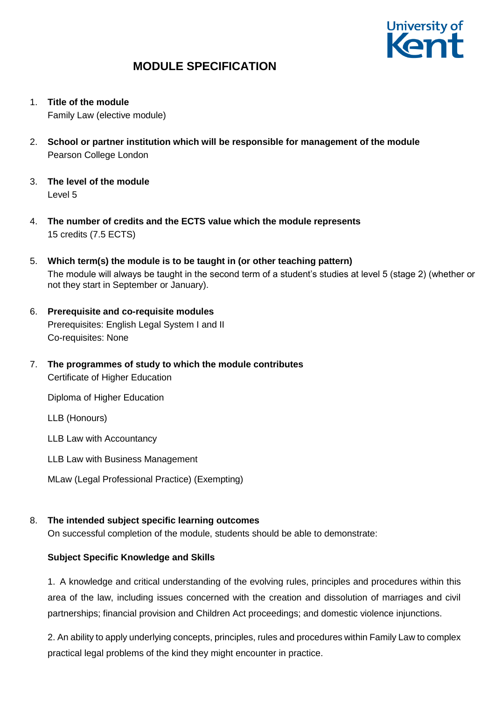

- 1. **Title of the module** Family Law (elective module)
- 2. **School or partner institution which will be responsible for management of the module** Pearson College London
- 3. **The level of the module**  Level 5
- 4. **The number of credits and the ECTS value which the module represents**  15 credits (7.5 ECTS)
- 5. **Which term(s) the module is to be taught in (or other teaching pattern)** The module will always be taught in the second term of a student's studies at level 5 (stage 2) (whether or not they start in September or January).
- 6. **Prerequisite and co-requisite modules** Prerequisites: English Legal System I and II Co-requisites: None
- 7. **The programmes of study to which the module contributes** Certificate of Higher Education

Diploma of Higher Education

LLB (Honours)

LLB Law with Accountancy

- LLB Law with Business Management
- MLaw (Legal Professional Practice) (Exempting)

## 8. **The intended subject specific learning outcomes**

On successful completion of the module, students should be able to demonstrate:

### **Subject Specific Knowledge and Skills**

1. A knowledge and critical understanding of the evolving rules, principles and procedures within this area of the law, including issues concerned with the creation and dissolution of marriages and civil partnerships; financial provision and Children Act proceedings; and domestic violence injunctions.

2. An ability to apply underlying concepts, principles, rules and procedures within Family Law to complex practical legal problems of the kind they might encounter in practice.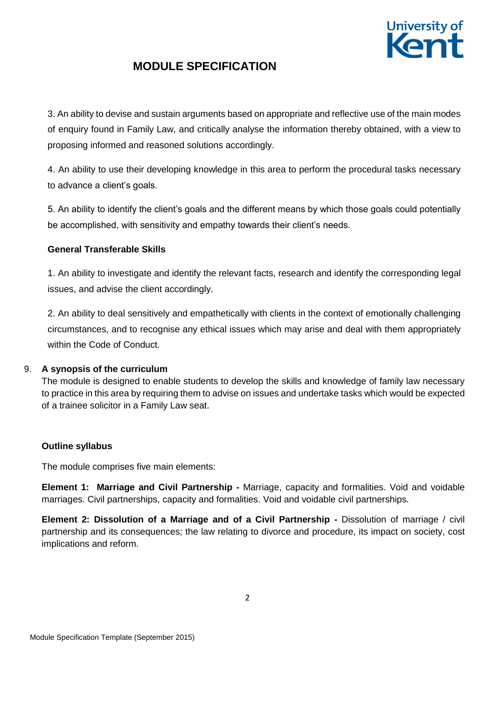

3. An ability to devise and sustain arguments based on appropriate and reflective use of the main modes of enquiry found in Family Law, and critically analyse the information thereby obtained, with a view to proposing informed and reasoned solutions accordingly.

4. An ability to use their developing knowledge in this area to perform the procedural tasks necessary to advance a client's goals.

5. An ability to identify the client's goals and the different means by which those goals could potentially be accomplished, with sensitivity and empathy towards their client's needs.

### **General Transferable Skills**

1. An ability to investigate and identify the relevant facts, research and identify the corresponding legal issues, and advise the client accordingly.

2. An ability to deal sensitively and empathetically with clients in the context of emotionally challenging circumstances, and to recognise any ethical issues which may arise and deal with them appropriately within the Code of Conduct.

### 9. **A synopsis of the curriculum**

The module is designed to enable students to develop the skills and knowledge of family law necessary to practice in this area by requiring them to advise on issues and undertake tasks which would be expected of a trainee solicitor in a Family Law seat.

## **Outline syllabus**

The module comprises five main elements:

**Element 1: Marriage and Civil Partnership -** Marriage, capacity and formalities. Void and voidable marriages. Civil partnerships, capacity and formalities. Void and voidable civil partnerships.

**Element 2: Dissolution of a Marriage and of a Civil Partnership -** Dissolution of marriage / civil partnership and its consequences; the law relating to divorce and procedure, its impact on society, cost implications and reform.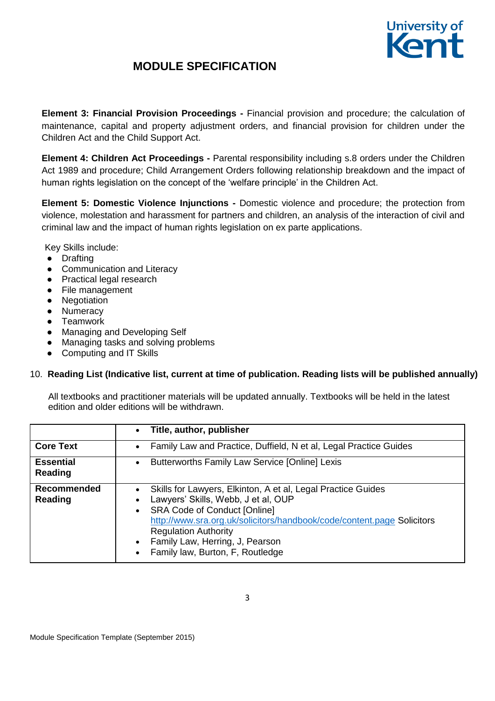

**Element 3: Financial Provision Proceedings -** Financial provision and procedure; the calculation of maintenance, capital and property adjustment orders, and financial provision for children under the Children Act and the Child Support Act.

**Element 4: Children Act Proceedings -** Parental responsibility including s.8 orders under the Children Act 1989 and procedure; Child Arrangement Orders following relationship breakdown and the impact of human rights legislation on the concept of the 'welfare principle' in the Children Act.

**Element 5: Domestic Violence Injunctions -** Domestic violence and procedure; the protection from violence, molestation and harassment for partners and children, an analysis of the interaction of civil and criminal law and the impact of human rights legislation on ex parte applications.

Key Skills include:

- Drafting
- Communication and Literacy
- Practical legal research
- File management
- Negotiation
- Numeracy
- Teamwork
- Managing and Developing Self
- Managing tasks and solving problems
- Computing and IT Skills

## 10. **Reading List (Indicative list, current at time of publication. Reading lists will be published annually)**

All textbooks and practitioner materials will be updated annually. Textbooks will be held in the latest edition and older editions will be withdrawn.

|                             | Title, author, publisher<br>$\bullet$                                                                                                                                                                                                                                                                                                                             |
|-----------------------------|-------------------------------------------------------------------------------------------------------------------------------------------------------------------------------------------------------------------------------------------------------------------------------------------------------------------------------------------------------------------|
| <b>Core Text</b>            | Family Law and Practice, Duffield, N et al, Legal Practice Guides<br>$\bullet$                                                                                                                                                                                                                                                                                    |
| <b>Essential</b><br>Reading | Butterworths Family Law Service [Online] Lexis<br>$\bullet$                                                                                                                                                                                                                                                                                                       |
| Recommended<br>Reading      | Skills for Lawyers, Elkinton, A et al, Legal Practice Guides<br>Lawyers' Skills, Webb, J et al, OUP<br><b>SRA Code of Conduct [Online]</b><br>$\bullet$<br>http://www.sra.org.uk/solicitors/handbook/code/content.page Solicitors<br><b>Regulation Authority</b><br>Family Law, Herring, J, Pearson<br>$\bullet$<br>Family law, Burton, F, Routledge<br>$\bullet$ |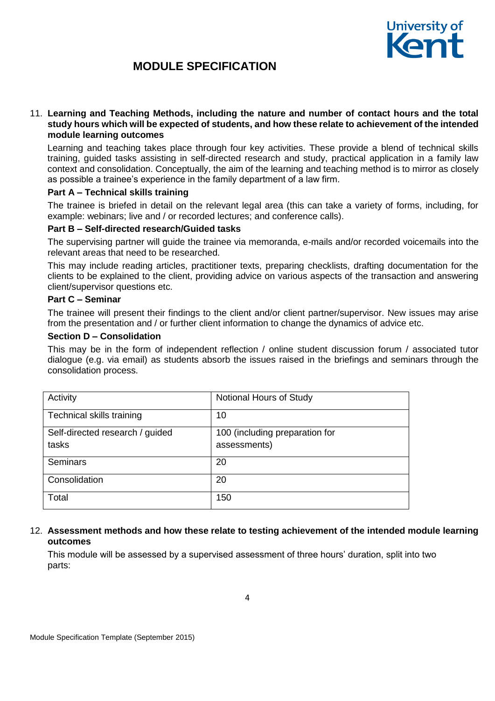

#### 11. **Learning and Teaching Methods, including the nature and number of contact hours and the total study hours which will be expected of students, and how these relate to achievement of the intended module learning outcomes**

Learning and teaching takes place through four key activities. These provide a blend of technical skills training, guided tasks assisting in self-directed research and study, practical application in a family law context and consolidation. Conceptually, the aim of the learning and teaching method is to mirror as closely as possible a trainee's experience in the family department of a law firm.

#### **Part A – Technical skills training**

The trainee is briefed in detail on the relevant legal area (this can take a variety of forms, including, for example: webinars; live and / or recorded lectures; and conference calls).

#### **Part B – Self-directed research/Guided tasks**

The supervising partner will guide the trainee via memoranda, e-mails and/or recorded voicemails into the relevant areas that need to be researched.

This may include reading articles, practitioner texts, preparing checklists, drafting documentation for the clients to be explained to the client, providing advice on various aspects of the transaction and answering client/supervisor questions etc.

#### **Part C – Seminar**

The trainee will present their findings to the client and/or client partner/supervisor. New issues may arise from the presentation and / or further client information to change the dynamics of advice etc.

#### **Section D – Consolidation**

This may be in the form of independent reflection / online student discussion forum / associated tutor dialogue (e.g. via email) as students absorb the issues raised in the briefings and seminars through the consolidation process.

| Activity                        | Notional Hours of Study        |
|---------------------------------|--------------------------------|
| Technical skills training       | 10                             |
| Self-directed research / guided | 100 (including preparation for |
| tasks                           | assessments)                   |
| <b>Seminars</b>                 | 20                             |
| Consolidation                   | 20                             |
| Total                           | 150                            |

#### 12. **Assessment methods and how these relate to testing achievement of the intended module learning outcomes**

This module will be assessed by a supervised assessment of three hours' duration, split into two parts: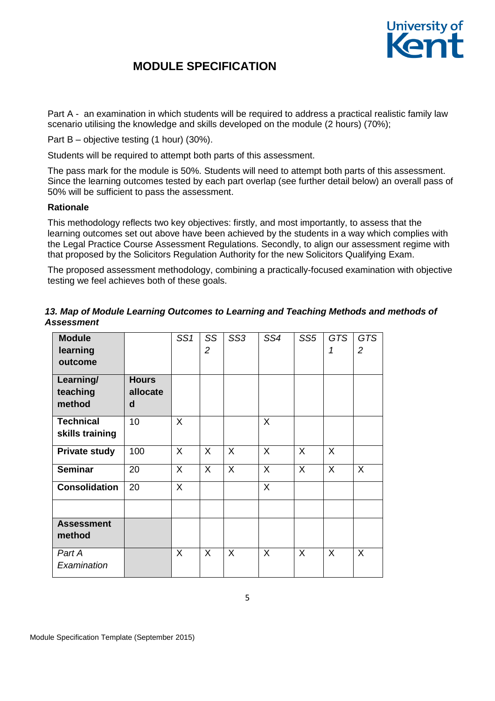

Part A - an examination in which students will be required to address a practical realistic family law scenario utilising the knowledge and skills developed on the module (2 hours) (70%);

Part B – objective testing (1 hour) (30%).

Students will be required to attempt both parts of this assessment.

The pass mark for the module is 50%. Students will need to attempt both parts of this assessment. Since the learning outcomes tested by each part overlap (see further detail below) an overall pass of 50% will be sufficient to pass the assessment.

#### **Rationale**

This methodology reflects two key objectives: firstly, and most importantly, to assess that the learning outcomes set out above have been achieved by the students in a way which complies with the Legal Practice Course Assessment Regulations. Secondly, to align our assessment regime with that proposed by the Solicitors Regulation Authority for the new Solicitors Qualifying Exam.

The proposed assessment methodology, combining a practically-focused examination with objective testing we feel achieves both of these goals.

| <b>Module</b><br>learning<br>outcome |                               | SS1     | SS<br>$\overline{2}$ | SS <sub>3</sub> | SS4 | SS <sub>5</sub> | <b>GTS</b><br>1 | <b>GTS</b><br>2 |
|--------------------------------------|-------------------------------|---------|----------------------|-----------------|-----|-----------------|-----------------|-----------------|
| Learning/<br>teaching<br>method      | <b>Hours</b><br>allocate<br>d |         |                      |                 |     |                 |                 |                 |
| <b>Technical</b><br>skills training  | 10                            | $\sf X$ |                      |                 | X   |                 |                 |                 |
| <b>Private study</b>                 | 100                           | X       | X                    | X               | X   | X               | X               |                 |
| <b>Seminar</b>                       | 20                            | $\sf X$ | $\sf X$              | $\sf X$         | X   | $\sf X$         | $\sf X$         | X               |
| <b>Consolidation</b>                 | 20                            | X       |                      |                 | X   |                 |                 |                 |
| <b>Assessment</b><br>method          |                               |         |                      |                 |     |                 |                 |                 |
| Part A<br>Examination                |                               | X       | X                    | X               | X   | X               | X               | $\sf X$         |

### *13. Map of Module Learning Outcomes to Learning and Teaching Methods and methods of Assessment*